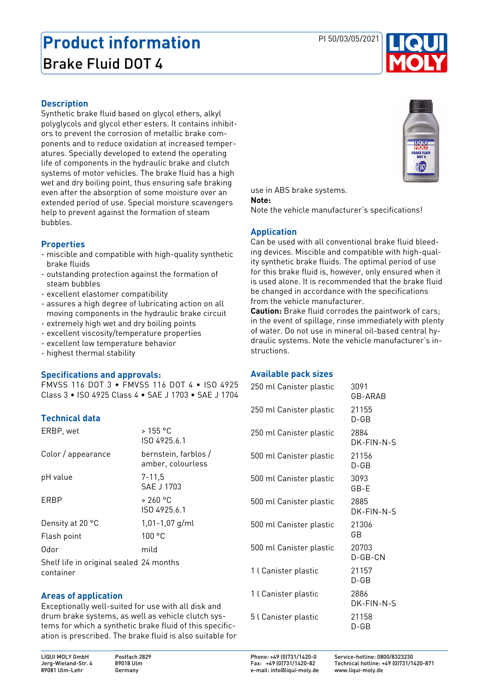# **Product information** PI 50/03/05/2021 Brake Fluid DOT 4



#### **Description**

Synthetic brake fluid based on glycol ethers, alkyl polyglycols and glycol ether esters. It contains inhibitors to prevent the corrosion of metallic brake components and to reduce oxidation at increased temperatures. Specially developed to extend the operating life of components in the hydraulic brake and clutch systems of motor vehicles. The brake fluid has a high wet and dry boiling point, thus ensuring safe braking even after the absorption of some moisture over an extended period of use. Special moisture scavengers help to prevent against the formation of steam bubbles.

## **Properties**

- miscible and compatible with high-quality synthetic brake fluids
- outstanding protection against the formation of steam bubbles
- excellent elastomer compatibility
- assures a high degree of lubricating action on all moving components in the hydraulic brake circuit
- extremely high wet and dry boiling points
- excellent viscosity/temperature properties
- excellent low temperature behavior
- highest thermal stability

#### **Specifications and approvals:**

FMVSS 116 DOT 3 ∙ FMVSS 116 DOT 4 ∙ ISO 4925 Class 3 ∙ ISO 4925 Class 4 ∙ SAE J 1703 ∙ SAE J 1704

## **Technical data**

| ERBP, wet                                            | > 155 °C<br>ISO 4925.6.1                  |
|------------------------------------------------------|-------------------------------------------|
| Color / appearance                                   | bernstein, farblos /<br>amber, colourless |
| pH value                                             | 7-11.5<br>SAE J 1703                      |
| ERBP                                                 | > 260 °C<br>ISO 4925.6.1                  |
| Density at 20 °C                                     | $1,01 - 1,07$ g/ml                        |
| Flash point                                          | 100 °C                                    |
| Odor                                                 | mild                                      |
| Shelf life in original sealed 24 months<br>container |                                           |

#### **Areas of application**

Exceptionally well-suited for use with all disk and drum brake systems, as well as vehicle clutch systems for which a synthetic brake fluid of this specification is prescribed. The brake fluid is also suitable for





#### **Note:**

Note the vehicle manufacturer's specifications!

## **Application**

Can be used with all conventional brake fluid bleeding devices. Miscible and compatible with high-quality synthetic brake fluids. The optimal period of use for this brake fluid is, however, only ensured when it is used alone. It is recommended that the brake fluid be changed in accordance with the specifications from the vehicle manufacturer.

**Caution:** Brake fluid corrodes the paintwork of cars; in the event of spillage, rinse immediately with plenty of water. Do not use in mineral oil-based central hydraulic systems. Note the vehicle manufacturer's instructions.

## **Available pack sizes**

| 250 ml Canister plastic | 3091<br>GB-ARAB    |
|-------------------------|--------------------|
| 250 ml Canister plastic | 21155<br>D-GB      |
| 250 ml Canister plastic | 2884<br>DK-FIN-N-S |
| 500 ml Canister plastic | 21156<br>D-GB      |
| 500 ml Canister plastic | 3093<br>GB-E       |
| 500 ml Canister plastic | 2885<br>DK-FIN-N-S |
| 500 ml Canister plastic | 21306<br>GВ        |
| 500 ml Canister plastic | 20703<br>D-GB-CN   |
| 1 l Canister plastic    | 21157<br>D-GB      |
| 1 l Canister plastic    | 2886<br>DK-FIN-N-S |
| 5 l Canister plastic    | 21158<br>D-GB      |